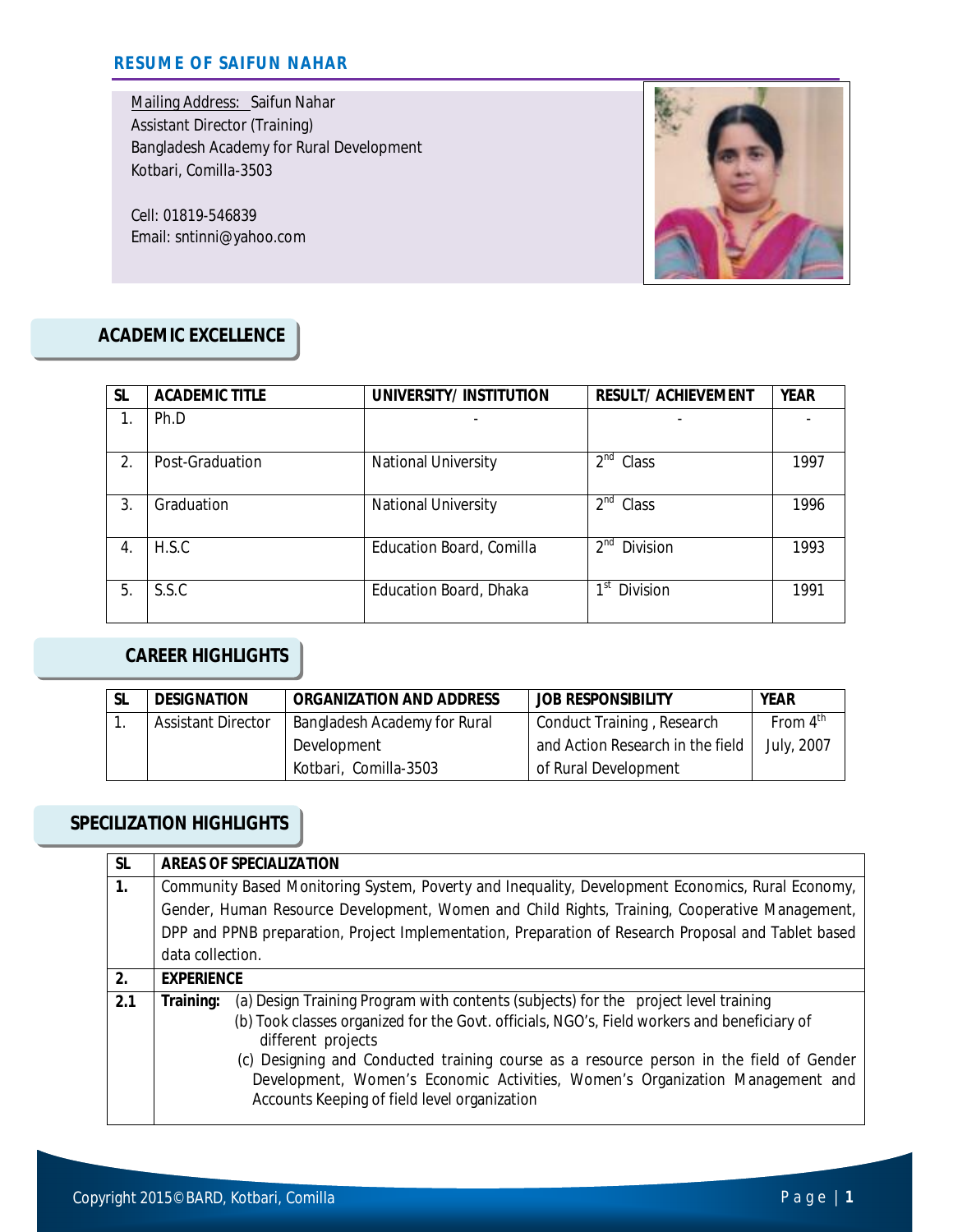Mailing Address: Saifun Nahar Assistant Director (Training) Bangladesh Academy for Rural Development Kotbari, Comilla-3503

Cell: 01819-546839 Email: sntinni@yahoo.com



### **ACADEMIC EXCELLENCE**

| <b>SL</b> | <b>ACADEMIC TITLE</b> | UNIVERSITY/INSTITUTION     | <b>RESULT/ ACHIEVEMENT</b>  | <b>YEAR</b> |
|-----------|-----------------------|----------------------------|-----------------------------|-------------|
|           | Ph.D                  |                            |                             |             |
| 2.        | Post-Graduation       | <b>National University</b> | 2 <sup>nd</sup><br>Class    | 1997        |
| 3.        | Graduation            | <b>National University</b> | 2 <sup>nd</sup><br>Class    | 1996        |
| 4.        | H.S.C                 | Education Board, Comilla   | 2 <sup>nd</sup><br>Division | 1993        |
| 5.        | S.S.C                 | Education Board, Dhaka     | 1st<br>Division             | 1991        |

### **CAREER HIGHLIGHTS**

| <b>SL</b> | <b>DESIGNATION</b>        | <b>ORGANIZATION AND ADDRESS</b> | <b>JOB RESPONSIBILITY</b>        | <b>YEAR</b>          |
|-----------|---------------------------|---------------------------------|----------------------------------|----------------------|
|           | <b>Assistant Director</b> | Bangladesh Academy for Rural    | Conduct Training, Research       | From $4^{\text{th}}$ |
|           |                           | Development                     | and Action Research in the field | July, 2007           |
|           |                           | Kotbari, Comilla-3503           | of Rural Development             |                      |

## **SPECILIZATION HIGHLIGHTS**

| <b>SL</b> |                                                                                                  | <b>AREAS OF SPECIALIZATION</b>                                                                                                                                                                                                                                                                                                                                                                                                       |  |  |
|-----------|--------------------------------------------------------------------------------------------------|--------------------------------------------------------------------------------------------------------------------------------------------------------------------------------------------------------------------------------------------------------------------------------------------------------------------------------------------------------------------------------------------------------------------------------------|--|--|
| 1.        | Community Based Monitoring System, Poverty and Inequality, Development Economics, Rural Economy, |                                                                                                                                                                                                                                                                                                                                                                                                                                      |  |  |
|           |                                                                                                  | Gender, Human Resource Development, Women and Child Rights, Training, Cooperative Management,                                                                                                                                                                                                                                                                                                                                        |  |  |
|           |                                                                                                  | DPP and PPNB preparation, Project Implementation, Preparation of Research Proposal and Tablet based                                                                                                                                                                                                                                                                                                                                  |  |  |
|           | data collection.                                                                                 |                                                                                                                                                                                                                                                                                                                                                                                                                                      |  |  |
| 2.        | <b>EXPERIENCE</b>                                                                                |                                                                                                                                                                                                                                                                                                                                                                                                                                      |  |  |
| 2.1       | Training:                                                                                        | (a) Design Training Program with contents (subjects) for the project level training<br>(b) Took classes organized for the Govt. officials, NGO's, Field workers and beneficiary of<br>different projects<br>(c) Designing and Conducted training course as a resource person in the field of Gender<br>Development, Women's Economic Activities, Women's Organization Management and<br>Accounts Keeping of field level organization |  |  |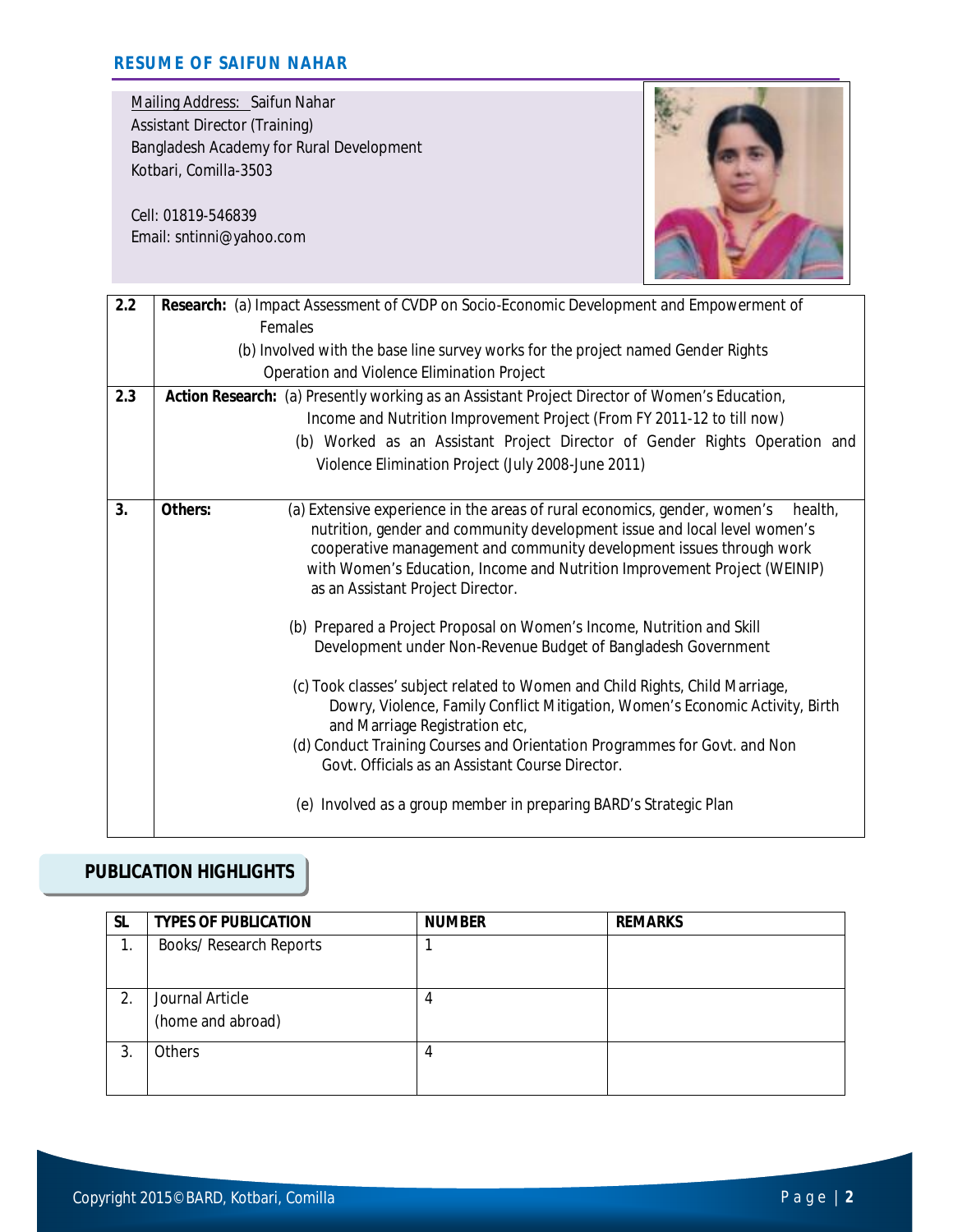Mailing Address: Saifun Nahar Assistant Director (Training) Bangladesh Academy for Rural Development Kotbari, Comilla-3503

Cell: 01819-546839 Email: sntinni@yahoo.com



| 2.2 | Research: (a) Impact Assessment of CVDP on Socio-Economic Development and Empowerment of                                                                                                                                                                                                                                                                               |  |  |
|-----|------------------------------------------------------------------------------------------------------------------------------------------------------------------------------------------------------------------------------------------------------------------------------------------------------------------------------------------------------------------------|--|--|
|     | Females                                                                                                                                                                                                                                                                                                                                                                |  |  |
|     | (b) Involved with the base line survey works for the project named Gender Rights                                                                                                                                                                                                                                                                                       |  |  |
|     | Operation and Violence Elimination Project                                                                                                                                                                                                                                                                                                                             |  |  |
| 2.3 | Action Research: (a) Presently working as an Assistant Project Director of Women's Education,                                                                                                                                                                                                                                                                          |  |  |
|     | Income and Nutrition Improvement Project (From FY 2011-12 to till now)                                                                                                                                                                                                                                                                                                 |  |  |
|     | (b) Worked as an Assistant Project Director of Gender Rights Operation and                                                                                                                                                                                                                                                                                             |  |  |
|     | Violence Elimination Project (July 2008-June 2011)                                                                                                                                                                                                                                                                                                                     |  |  |
| 3.  | Others:<br>(a) Extensive experience in the areas of rural economics, gender, women's<br>health.<br>nutrition, gender and community development issue and local level women's<br>cooperative management and community development issues through work<br>with Women's Education, Income and Nutrition Improvement Project (WEINIP)<br>as an Assistant Project Director. |  |  |
|     | (b) Prepared a Project Proposal on Women's Income, Nutrition and Skill<br>Development under Non-Revenue Budget of Bangladesh Government                                                                                                                                                                                                                                |  |  |
|     | (c) Took classes' subject related to Women and Child Rights, Child Marriage,<br>Dowry, Violence, Family Conflict Mitigation, Women's Economic Activity, Birth<br>and Marriage Registration etc,                                                                                                                                                                        |  |  |
|     | (d) Conduct Training Courses and Orientation Programmes for Govt. and Non<br>Govt. Officials as an Assistant Course Director.                                                                                                                                                                                                                                          |  |  |
|     | (e) Involved as a group member in preparing BARD's Strategic Plan                                                                                                                                                                                                                                                                                                      |  |  |

## **PUBLICATION HIGHLIGHTS**

| <b>SL</b> | <b>TYPES OF PUBLICATION</b>          | <b>NUMBER</b> | <b>REMARKS</b> |
|-----------|--------------------------------------|---------------|----------------|
| 1.        | <b>Books/ Research Reports</b>       |               |                |
| 2.        | Journal Article<br>(home and abroad) | 4             |                |
| 3.        | Others                               | 4             |                |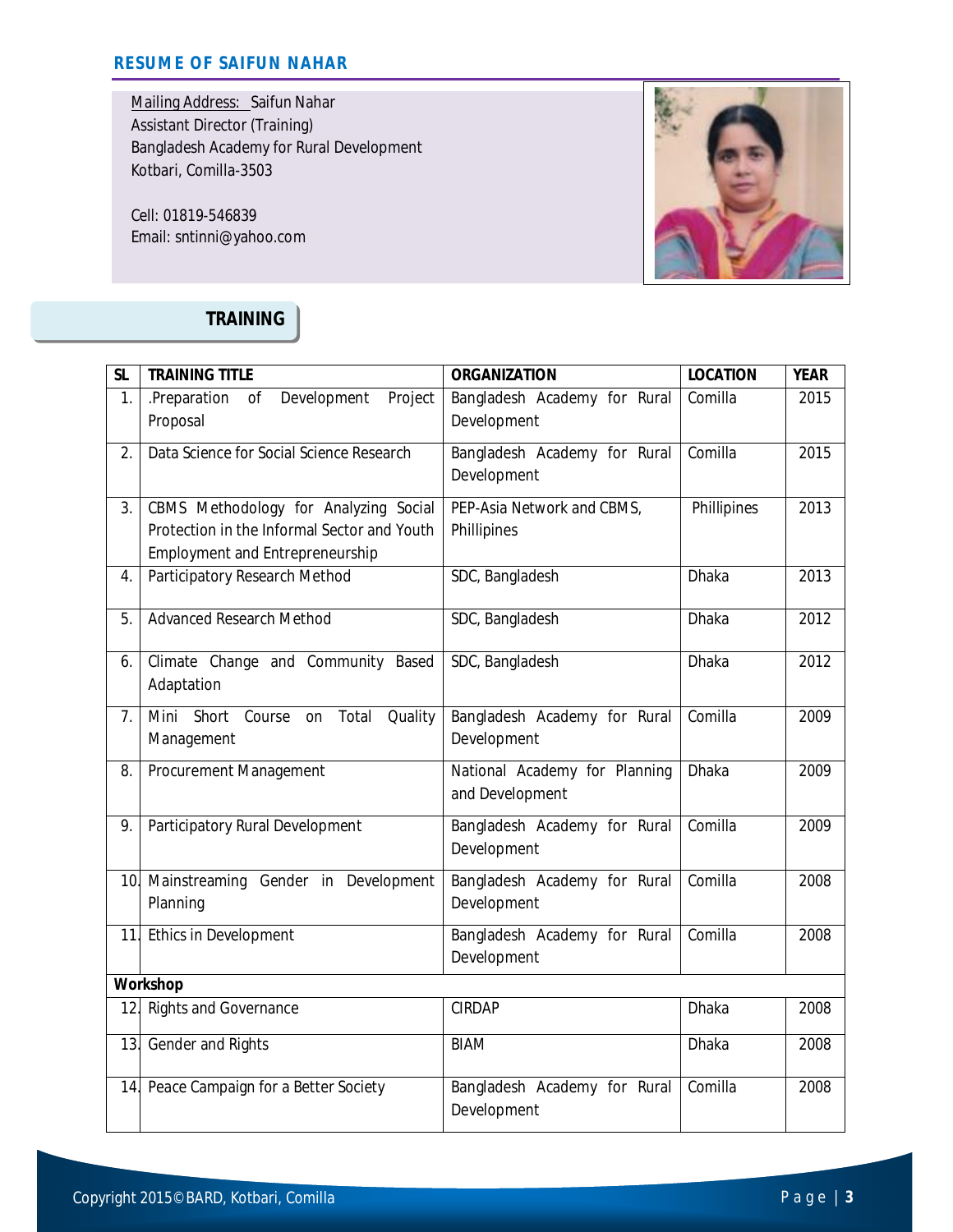Mailing Address: Saifun Nahar Assistant Director (Training) Bangladesh Academy for Rural Development Kotbari, Comilla-3503

Cell: 01819-546839 Email: sntinni@yahoo.com



# **TRAINING**

| <b>SL</b> | <b>TRAINING TITLE</b>                          | <b>ORGANIZATION</b>           | <b>LOCATION</b> | <b>YEAR</b> |  |
|-----------|------------------------------------------------|-------------------------------|-----------------|-------------|--|
| 1.        | .Preparation<br>of<br>Development<br>Project   | Bangladesh Academy for Rural  | Comilla         | 2015        |  |
|           | Proposal                                       | Development                   |                 |             |  |
| 2.        | Data Science for Social Science Research       | Bangladesh Academy for Rural  | Comilla         | 2015        |  |
|           |                                                | Development                   |                 |             |  |
| 3.        | CBMS Methodology for Analyzing Social          | PEP-Asia Network and CBMS,    | Phillipines     | 2013        |  |
|           | Protection in the Informal Sector and Youth    | Phillipines                   |                 |             |  |
|           | <b>Employment and Entrepreneurship</b>         |                               |                 |             |  |
| 4.        | Participatory Research Method                  | SDC, Bangladesh               | Dhaka           | 2013        |  |
| 5.        | <b>Advanced Research Method</b>                | SDC, Bangladesh               | Dhaka           | 2012        |  |
|           |                                                |                               |                 |             |  |
| 6.        | Climate Change and Community Based             | SDC, Bangladesh               | Dhaka           | 2012        |  |
|           | Adaptation                                     |                               |                 |             |  |
| 7.        | Mini<br>Short Course<br>Total<br>Quality<br>on | Bangladesh Academy for Rural  | Comilla         | 2009        |  |
|           | Management                                     | Development                   |                 |             |  |
| 8.        | Procurement Management                         | National Academy for Planning | Dhaka           | 2009        |  |
|           |                                                | and Development               |                 |             |  |
| 9.        | Participatory Rural Development                | Bangladesh Academy for Rural  | Comilla         | 2009        |  |
|           |                                                | Development                   |                 |             |  |
| 10.       | Mainstreaming Gender in Development            | Bangladesh Academy for Rural  | Comilla         | 2008        |  |
|           | Planning                                       | Development                   |                 |             |  |
| 11.       | Ethics in Development                          | Bangladesh Academy for Rural  | Comilla         | 2008        |  |
|           |                                                | Development                   |                 |             |  |
|           | Workshop                                       |                               |                 |             |  |
| 12.       | <b>Rights and Governance</b>                   | <b>CIRDAP</b>                 | Dhaka           | 2008        |  |
| 13.       | Gender and Rights                              | <b>BIAM</b>                   | Dhaka           | 2008        |  |
|           |                                                |                               |                 |             |  |
| 14.       | Peace Campaign for a Better Society            | Bangladesh Academy for Rural  | Comilla         | 2008        |  |
|           |                                                | Development                   |                 |             |  |